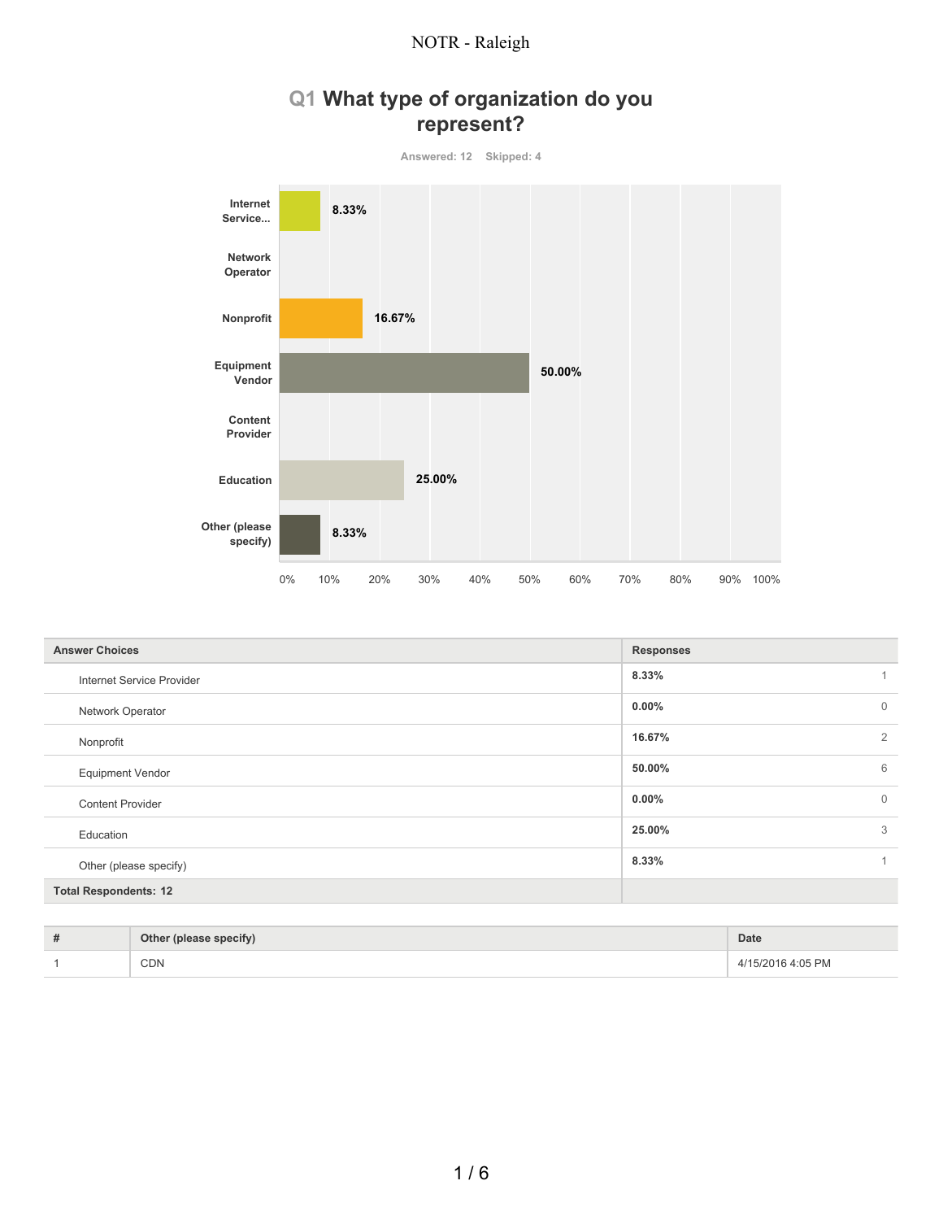## **Q1 What type of organization do you represent?**



| <b>Answer Choices</b>        | <b>Responses</b> |             |
|------------------------------|------------------|-------------|
| Internet Service Provider    | 8.33%            |             |
| Network Operator             | $0.00\%$         | $\mathbf 0$ |
| Nonprofit                    | 16.67%           | 2           |
| <b>Equipment Vendor</b>      | 50.00%           | 6           |
| <b>Content Provider</b>      | $0.00\%$         | $\mathbf 0$ |
| Education                    | 25.00%           | 3           |
| Other (please specify)       | 8.33%            |             |
| <b>Total Respondents: 12</b> |                  |             |

| # | Other (please specify) | Date           |
|---|------------------------|----------------|
|   | <b>CDN</b>             | :05 PM<br>トパンパ |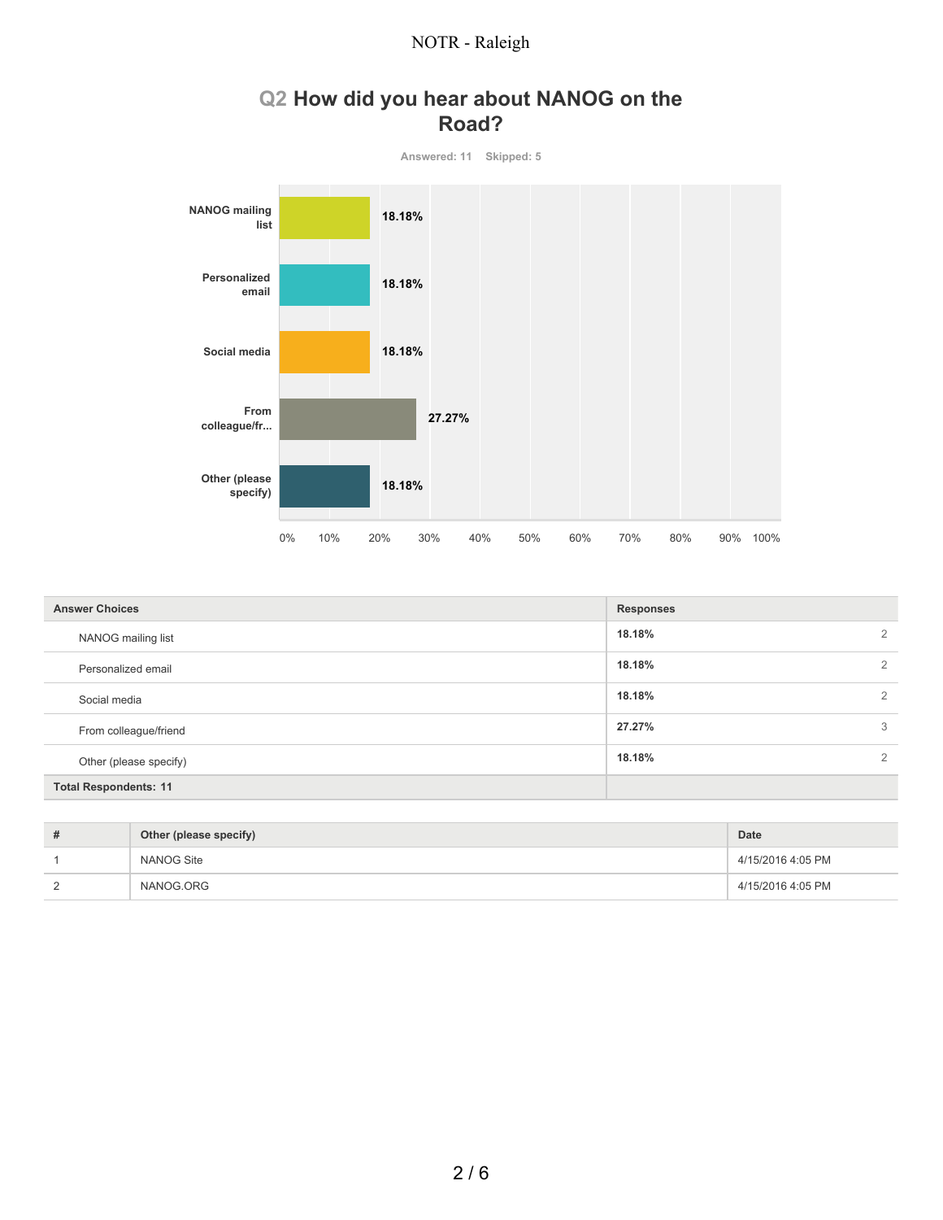# **Q2 How did you hear about NANOG on the Road?**



| <b>Answer Choices</b>        | <b>Responses</b> |                |
|------------------------------|------------------|----------------|
| NANOG mailing list           | 18.18%           | $\overline{2}$ |
| Personalized email           | 18.18%           | 2              |
| Social media                 | 18.18%           | 2              |
| From colleague/friend        | 27.27%           | 3              |
| Other (please specify)       | 18.18%           | $\overline{2}$ |
| <b>Total Respondents: 11</b> |                  |                |

| #          | Other (please specify) | <b>Date</b>       |
|------------|------------------------|-------------------|
|            | NANOG Site             | 4/15/2016 4:05 PM |
| $\sqrt{2}$ | NANOG.ORG              | 4/15/2016 4:05 PM |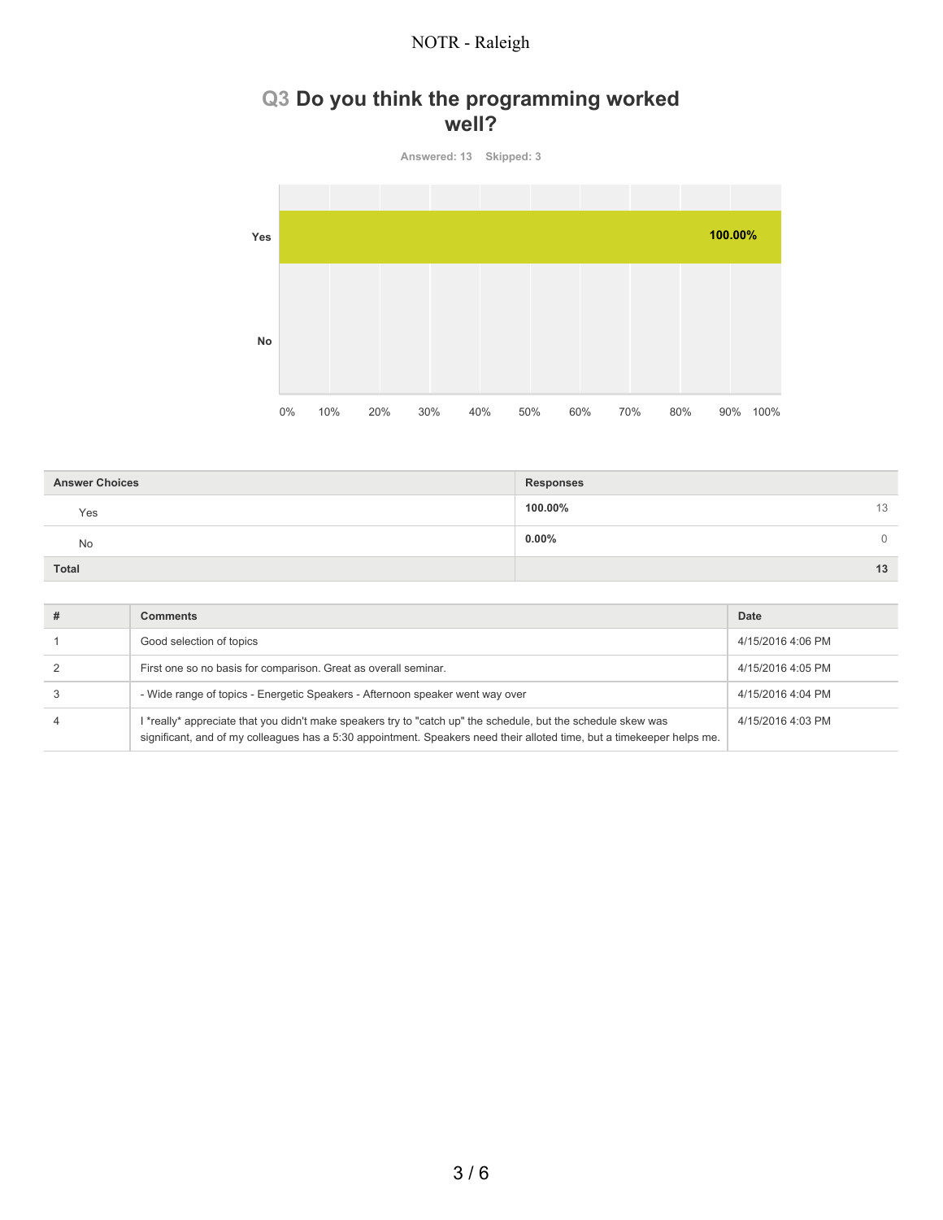### **Q3 Do you think the programming worked well?**

**Answered: 13 Skipped: 3 Yes No** 0% 10% 20% 30% 40% 50% 60% 70% 80% 90% 100% **100.00%**

| <b>Answer Choices</b> | <b>Responses</b> |    |
|-----------------------|------------------|----|
| Yes                   | 100.00%          | 13 |
| <b>No</b>             | $0.00\%$         | 0  |
| Total                 |                  | 13 |

| <b>Comments</b>                                                                                                                                                                                                                         | Date              |
|-----------------------------------------------------------------------------------------------------------------------------------------------------------------------------------------------------------------------------------------|-------------------|
| Good selection of topics                                                                                                                                                                                                                | 4/15/2016 4:06 PM |
| First one so no basis for comparison. Great as overall seminar.                                                                                                                                                                         | 4/15/2016 4:05 PM |
| - Wide range of topics - Energetic Speakers - Afternoon speaker went way over                                                                                                                                                           | 4/15/2016 4:04 PM |
| I *really* appreciate that you didn't make speakers try to "catch up" the schedule, but the schedule skew was<br>significant, and of my colleagues has a 5:30 appointment. Speakers need their alloted time, but a timekeeper helps me. | 4/15/2016 4:03 PM |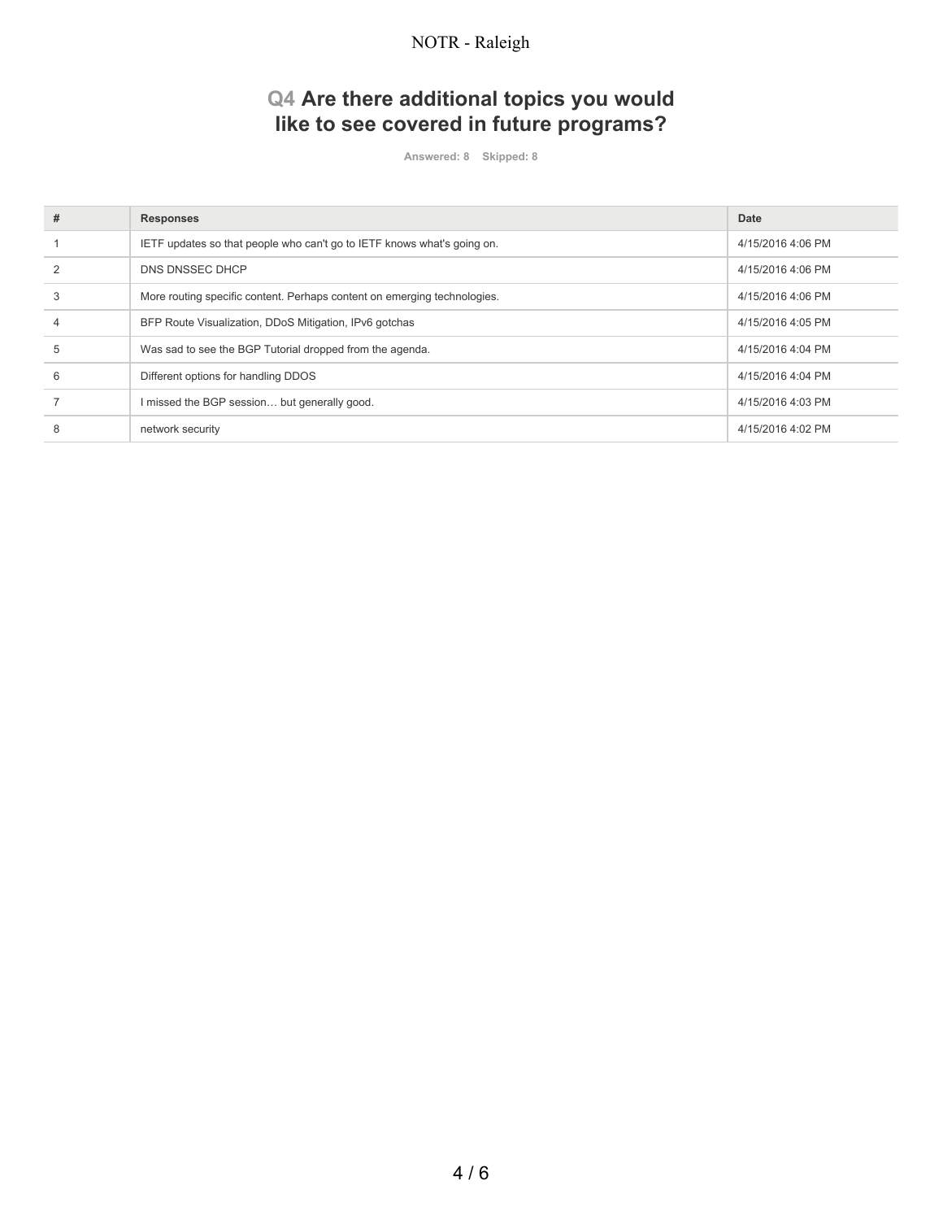# **Q4 Are there additional topics you would like to see covered in future programs?**

**Answered: 8 Skipped: 8**

| # | <b>Responses</b>                                                         | Date              |
|---|--------------------------------------------------------------------------|-------------------|
|   | IETF updates so that people who can't go to IETF knows what's going on.  | 4/15/2016 4:06 PM |
|   | DNS DNSSEC DHCP                                                          | 4/15/2016 4:06 PM |
| 3 | More routing specific content. Perhaps content on emerging technologies. | 4/15/2016 4:06 PM |
|   | BFP Route Visualization, DDoS Mitigation, IPv6 gotchas                   | 4/15/2016 4:05 PM |
| 5 | Was sad to see the BGP Tutorial dropped from the agenda.                 | 4/15/2016 4:04 PM |
| 6 | Different options for handling DDOS                                      | 4/15/2016 4:04 PM |
|   | I missed the BGP session but generally good.                             | 4/15/2016 4:03 PM |
| 8 | network security                                                         | 4/15/2016 4:02 PM |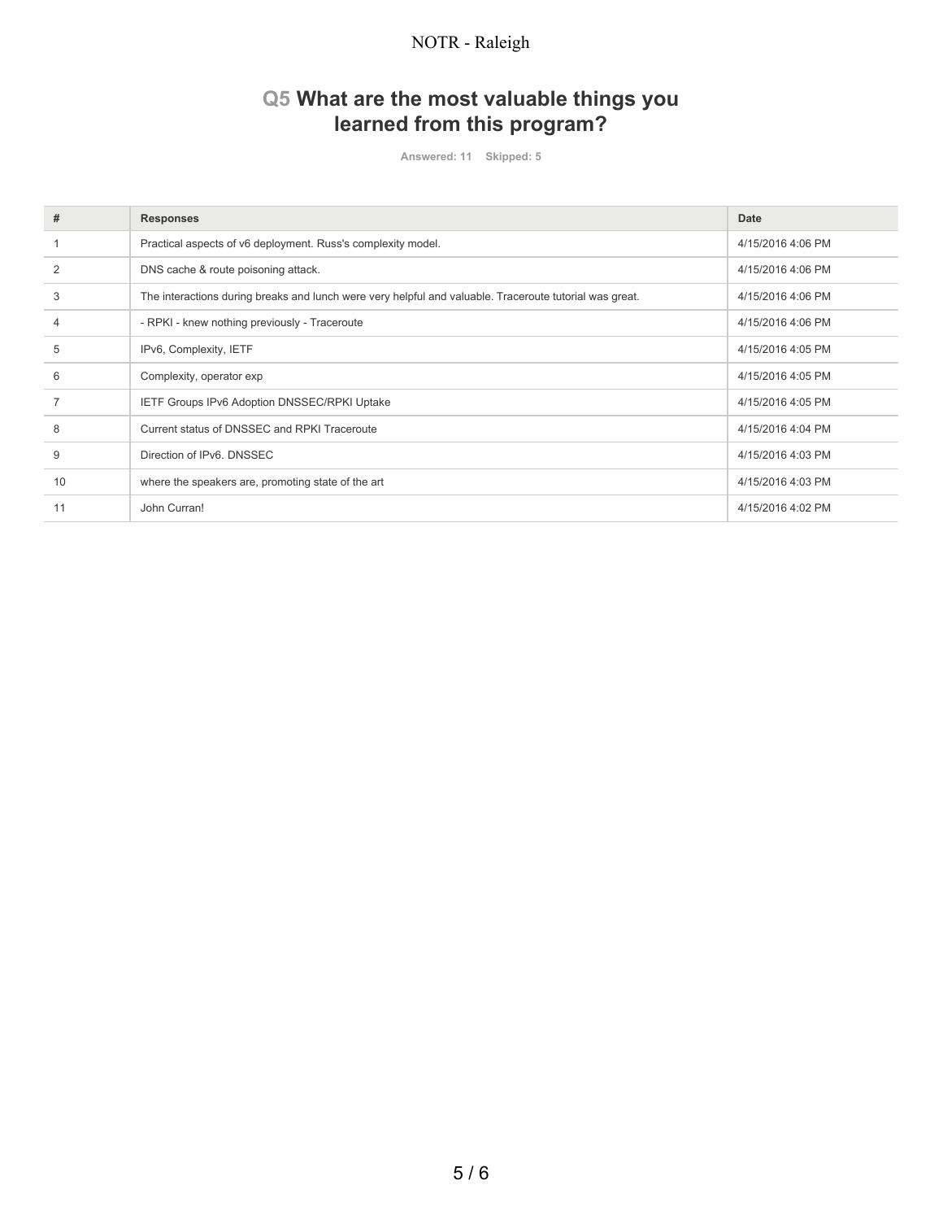# **Q5 What are the most valuable things you learned from this program?**

**Answered: 11 Skipped: 5**

| #  | <b>Responses</b>                                                                                        | Date              |
|----|---------------------------------------------------------------------------------------------------------|-------------------|
|    | Practical aspects of v6 deployment. Russ's complexity model.                                            | 4/15/2016 4:06 PM |
|    | DNS cache & route poisoning attack.                                                                     | 4/15/2016 4:06 PM |
| 3  | The interactions during breaks and lunch were very helpful and valuable. Traceroute tutorial was great. | 4/15/2016 4:06 PM |
|    | - RPKI - knew nothing previously - Traceroute                                                           | 4/15/2016 4:06 PM |
| 5  | IPv6, Complexity, IETF                                                                                  | 4/15/2016 4:05 PM |
| 6  | Complexity, operator exp                                                                                | 4/15/2016 4:05 PM |
|    | IETF Groups IPv6 Adoption DNSSEC/RPKI Uptake                                                            | 4/15/2016 4:05 PM |
| 8  | Current status of DNSSEC and RPKI Traceroute                                                            | 4/15/2016 4:04 PM |
| 9  | Direction of IPv6, DNSSEC                                                                               | 4/15/2016 4:03 PM |
| 10 | where the speakers are, promoting state of the art                                                      | 4/15/2016 4:03 PM |
| 11 | John Curran!                                                                                            | 4/15/2016 4:02 PM |